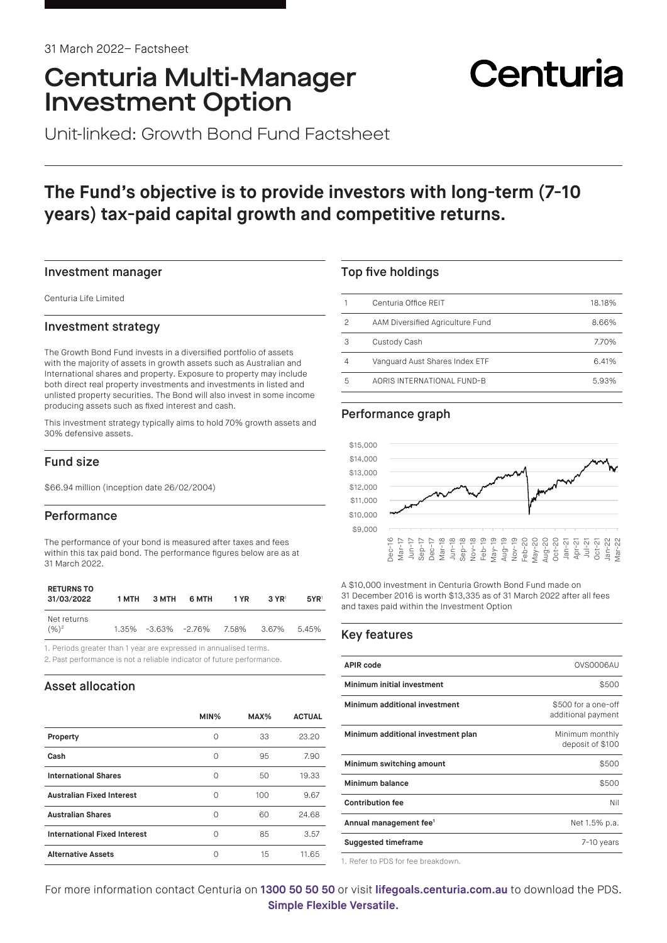## Centuria Multi-Manager Investment Option

# Centuria

Unit-linked: Growth Bond Fund Factsheet

## **The Fund's objective is to provide investors with long-term (7-10 years) tax-paid capital growth and competitive returns.**

#### Investment manager

Centuria Life Limited

#### Investment strategy

The Growth Bond Fund invests in a diversified portfolio of assets with the majority of assets in growth assets such as Australian and International shares and property. Exposure to property may include both direct real property investments and investments in listed and unlisted property securities. The Bond will also invest in some income producing assets such as fixed interest and cash.

This investment strategy typically aims to hold 70% growth assets and 30% defensive assets.

#### Fund size

\$66.94 million (inception date 26/02/2004)

#### **Performance**

The performance of your bond is measured after taxes and fees within this tax paid bond. The performance figures below are as at 31 March 2022.

| <b>RETURNS TO</b><br>31/03/2022 | 1 MTH | 3 MTH | 6 MTH                     | 1 YR | $3 \text{ YR}$ | 5YR <sup>1</sup> |
|---------------------------------|-------|-------|---------------------------|------|----------------|------------------|
| Net returns<br>$(9/6)^2$        |       |       | 1.35% -3.63% -2.76% 7.58% |      | 3.67%          | 5.45%            |

1. Periods greater than 1 year are expressed in annualised terms.

2. Past performance is not a reliable indicator of future performance.

#### Asset allocation

|                                     | MIN% | MAX% | <b>ACTUAL</b> |
|-------------------------------------|------|------|---------------|
| Property                            | Ω    | 33   | 23.20         |
| Cash                                | Ω    | 95   | 7.90          |
| <b>International Shares</b>         | Ω    | 50   | 19.33         |
| <b>Australian Fixed Interest</b>    | Ω    | 100  | 9.67          |
| <b>Australian Shares</b>            | ∩    | 60   | 24.68         |
| <b>International Fixed Interest</b> | ∩    | 85   | 3.57          |
| <b>Alternative Assets</b>           | Ω    | 15   | 11.65         |

#### Top five holdings

|   | Centuria Office REIT             | 18.18% |
|---|----------------------------------|--------|
| 2 | AAM Diversified Agriculture Fund | 8.66%  |
| З | Custody Cash                     | 7.70%  |
|   | Vanguard Aust Shares Index ETF   | 6.41%  |
| 5 | AORIS INTERNATIONAL FUND-B       | 5.93%  |

#### Performance graph



A \$10,000 investment in Centuria Growth Bond Fund made on 31 December 2016 is worth \$13,335 as of 31 March 2022 after all fees and taxes paid within the Investment Option

#### Key features

| <b>APIR code</b>                   | OVS0006AU                                 |
|------------------------------------|-------------------------------------------|
| Minimum initial investment         | \$500                                     |
| Minimum additional investment      | \$500 for a one-off<br>additional payment |
| Minimum additional investment plan | Minimum monthly<br>deposit of \$100       |
| Minimum switching amount           | \$500                                     |
| Minimum balance                    | \$500                                     |
| <b>Contribution fee</b>            | Nil                                       |
| Annual management fee <sup>1</sup> | Net 1.5% p.a.                             |
| <b>Suggested timeframe</b>         | 7-10 years                                |
|                                    |                                           |

1. Refer to PDS for fee breakdown.

For more information contact Centuria on **1300 50 50 50** or visit **[lifegoals.centuria.com.au](https://lifegoals.centuria.com.au)** to download the PDS. **Simple Flexible Versatile.**